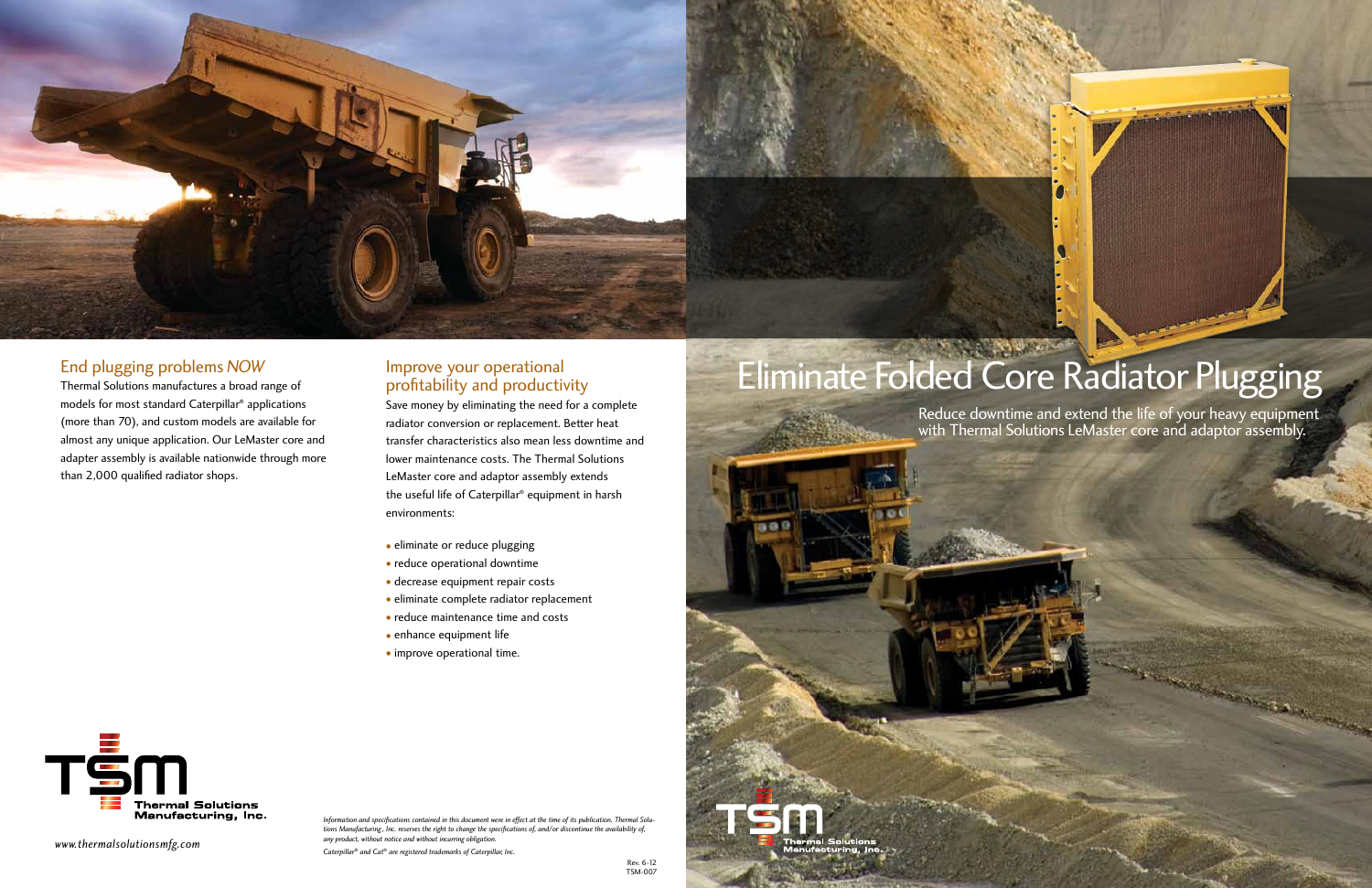# Eliminate Folded Core Radiator Plugging

*www.thermalsolutionsmfg.com*

*Information and specifications contained in this document were in effect at the time of its publication. Thermal Solutions Manufacturing , Inc. reserves the right to change the specifications of, and/or discontinue the availability of, any product, without notice and without incurring obligation.*

*Caterpillar® and Cat® are registered trademarks of Caterpillar, Inc.*



### End plugging problems *NOW*

Thermal Solutions manufactures a broad range of models for most standard Caterpillar® applications (more than 70), and custom models are available for almost any unique application. Our LeMaster core and adapter assembly is available nationwide through more than 2,000 qualified radiator shops.

### Improve your operational profitability and productivity

 $00$ 

TSM

Save money by eliminating the need for a complete radiator conversion or replacement. Better heat transfer characteristics also mean less downtime and lower maintenance costs. The Thermal Solutions LeMaster core and adaptor assembly extends the useful life of Caterpillar® equipment in harsh environments:

- eliminate or reduce plugging
- reduce operational downtime
- decrease equipment repair costs
- eliminate complete radiator replacement
- reduce maintenance time and costs
- enhance equipment life
- improve operational time.

Reduce downtime and extend the life of your heavy equipment with Thermal Solutions LeMaster core and adaptor assembly.

**Sections** 

![](_page_0_Picture_14.jpeg)